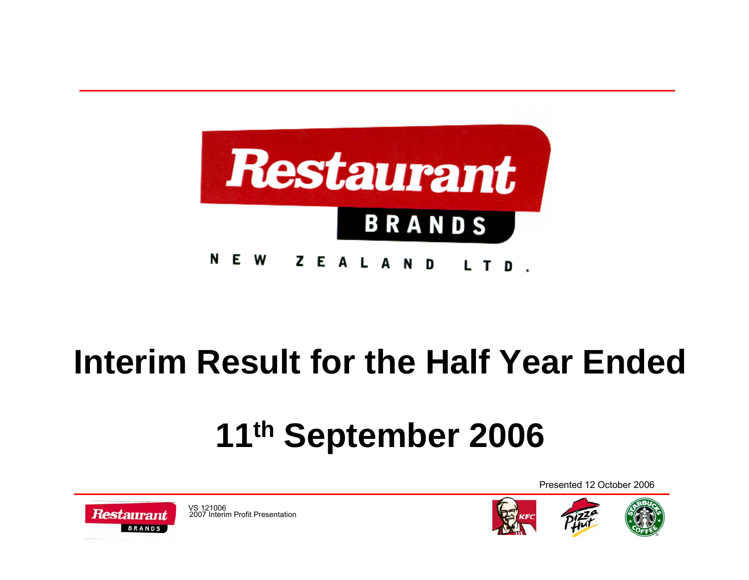

# **Interim Result for the Half Year Ended**

# **11th September 2006**







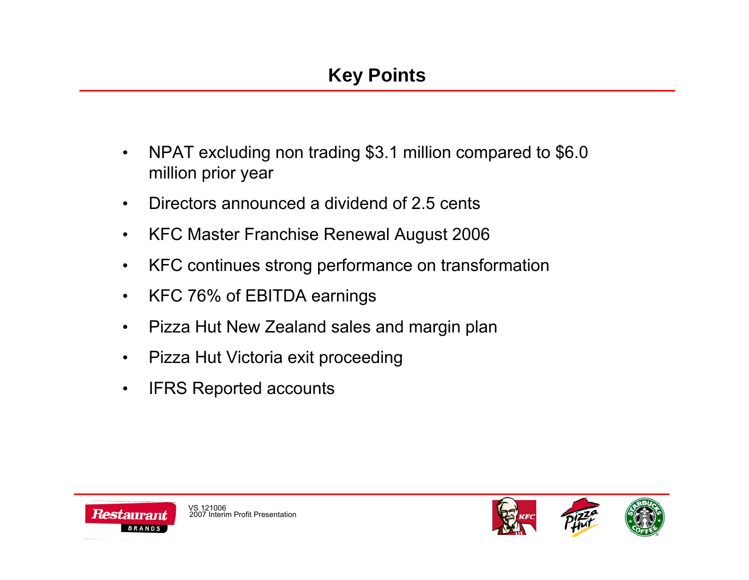- • NPAT excluding non trading \$3.1 million compared to \$6.0 million prior year
- •Directors announced a dividend of 2.5 cents
- •KFC Master Franchise Renewal August 2006
- •KFC continues strong performance on transformation
- •KFC 76% of EBITDA earnings
- •Pizza Hut New Zealand sales and margin plan
- •Pizza Hut Victoria exit proceeding
- •IFRS Reported accounts



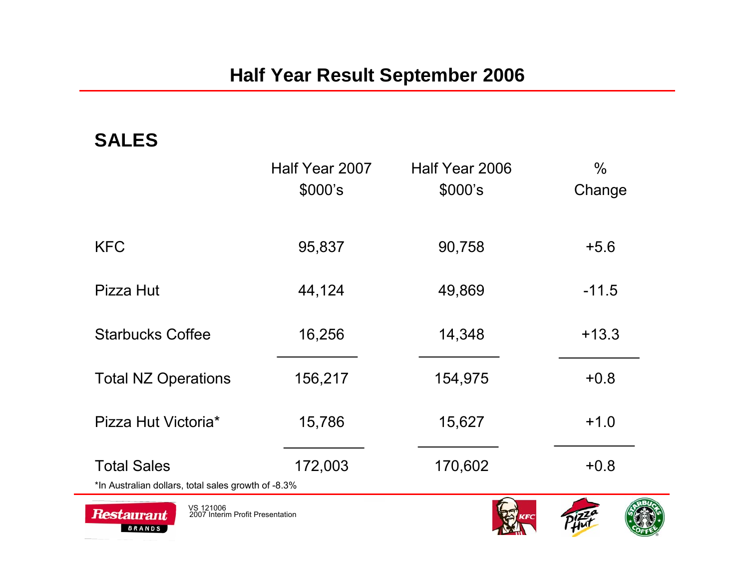# **Half Year Result September 2006**

| <b>SALES</b>                                                       |                |                |               |
|--------------------------------------------------------------------|----------------|----------------|---------------|
|                                                                    | Half Year 2007 | Half Year 2006 | $\frac{0}{0}$ |
|                                                                    | \$000's        | \$000's        | Change        |
|                                                                    |                |                |               |
| <b>KFC</b>                                                         | 95,837         | 90,758         | $+5.6$        |
|                                                                    |                |                |               |
| Pizza Hut                                                          | 44,124         | 49,869         | $-11.5$       |
| <b>Starbucks Coffee</b>                                            | 16,256         | 14,348         | $+13.3$       |
|                                                                    |                |                |               |
| <b>Total NZ Operations</b>                                         | 156,217        | 154,975        | $+0.8$        |
| Pizza Hut Victoria*                                                | 15,786         | 15,627         | $+1.0$        |
|                                                                    |                |                |               |
| <b>Total Sales</b>                                                 | 172,003        | 170,602        | $+0.8$        |
| *In Australian dollars, total sales growth of -8.3%                |                |                |               |
| VS 121006<br><b>Restaurant</b><br>2007 Interim Profit Presentation |                | KFC            |               |

**BRANDS**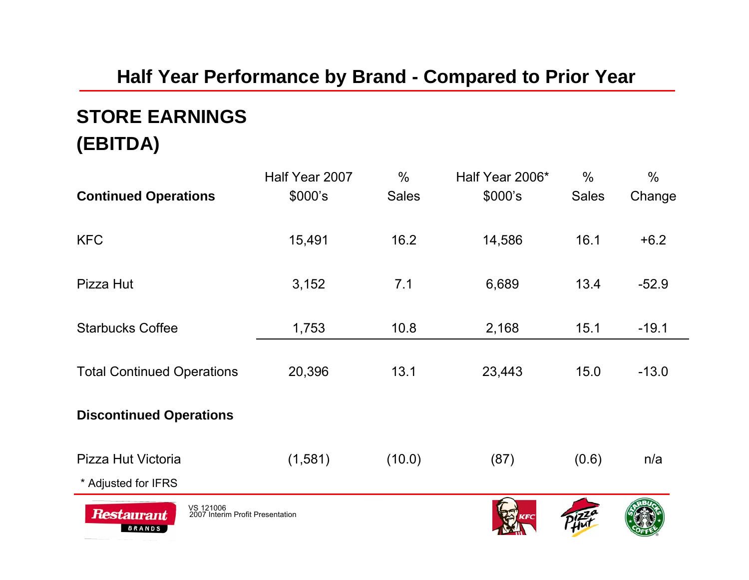# **STORE EARNINGS (EBITDA)**

|                                                                                     | Half Year 2007 | $\frac{0}{0}$ | Half Year 2006* | $\frac{0}{0}$ | $\frac{0}{0}$ |
|-------------------------------------------------------------------------------------|----------------|---------------|-----------------|---------------|---------------|
| <b>Continued Operations</b>                                                         | \$000's        | <b>Sales</b>  | \$000's         | <b>Sales</b>  | Change        |
| <b>KFC</b>                                                                          | 15,491         | 16.2          | 14,586          | 16.1          | $+6.2$        |
| Pizza Hut                                                                           | 3,152          | 7.1           | 6,689           | 13.4          | $-52.9$       |
| <b>Starbucks Coffee</b>                                                             | 1,753          | 10.8          | 2,168           | 15.1          | $-19.1$       |
| <b>Total Continued Operations</b>                                                   | 20,396         | 13.1          | 23,443          | 15.0          | $-13.0$       |
| <b>Discontinued Operations</b>                                                      |                |               |                 |               |               |
| Pizza Hut Victoria<br>* Adjusted for IFRS                                           | (1,581)        | (10.0)        | (87)            | (0.6)         | n/a           |
| VS 121006<br>2007 Interim Profit Presentation<br><b>Restaurant</b><br><b>BRANDS</b> |                |               |                 |               |               |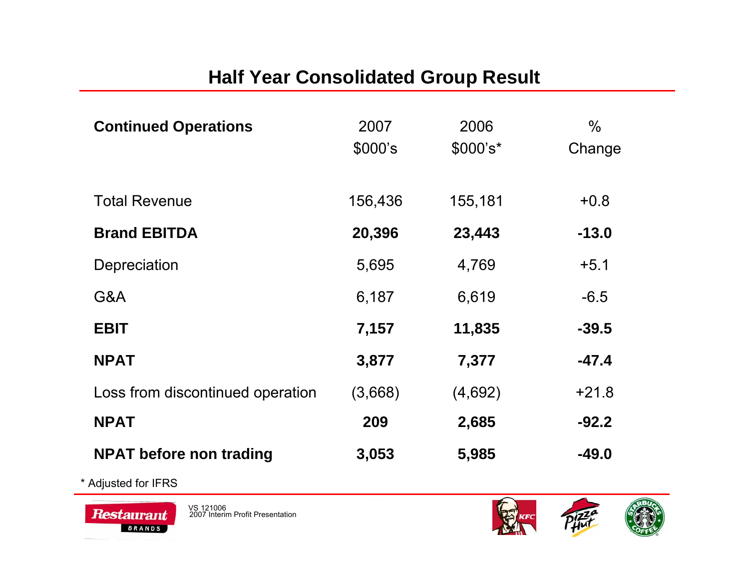# **Half Year Consolidated Group Result**

| <b>Continued Operations</b>      | 2007    | 2006     | $\frac{0}{0}$ |
|----------------------------------|---------|----------|---------------|
|                                  | \$000's | \$000's* | Change        |
|                                  |         |          |               |
| <b>Total Revenue</b>             | 156,436 | 155,181  | $+0.8$        |
| <b>Brand EBITDA</b>              | 20,396  | 23,443   | $-13.0$       |
| Depreciation                     | 5,695   | 4,769    | $+5.1$        |
| G&A                              | 6,187   | 6,619    | $-6.5$        |
| <b>EBIT</b>                      | 7,157   | 11,835   | $-39.5$       |
| <b>NPAT</b>                      | 3,877   | 7,377    | $-47.4$       |
| Loss from discontinued operation | (3,668) | (4,692)  | $+21.8$       |
| <b>NPAT</b>                      | 209     | 2,685    | $-92.2$       |
| <b>NPAT before non trading</b>   | 3,053   | 5,985    | $-49.0$       |

\* Adjusted for IFRS





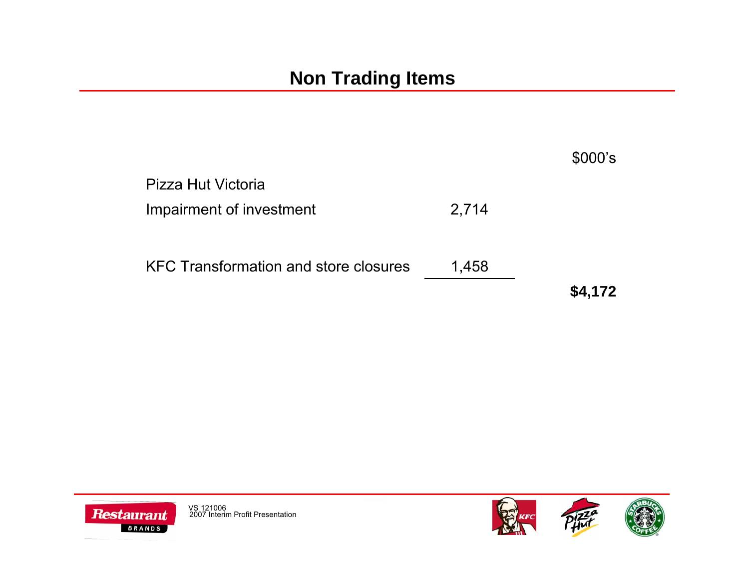# **Non Trading Items**

|                                              |       | \$000's |
|----------------------------------------------|-------|---------|
| Pizza Hut Victoria                           |       |         |
| Impairment of investment                     | 2,714 |         |
|                                              |       |         |
| <b>KFC Transformation and store closures</b> | 1,458 |         |
|                                              |       |         |
|                                              |       | \$4,172 |



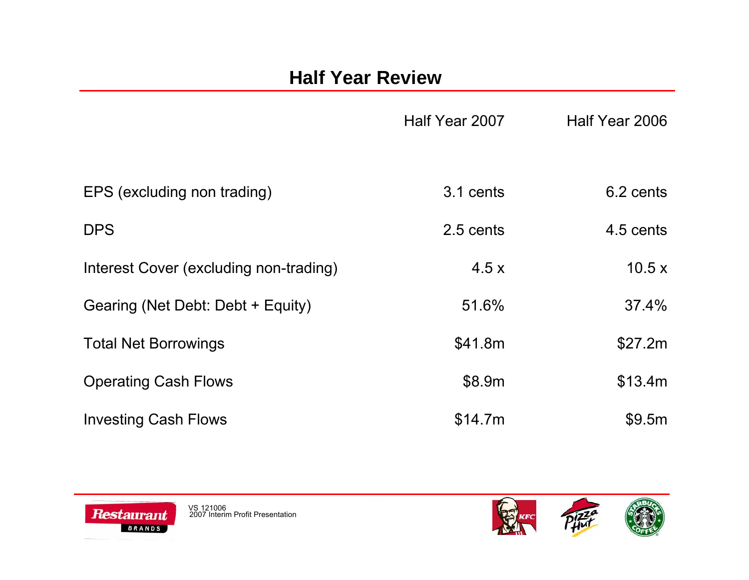# **Half Year Review**

|                                        | Half Year 2007 | Half Year 2006 |
|----------------------------------------|----------------|----------------|
| EPS (excluding non trading)            | 3.1 cents      | 6.2 cents      |
| <b>DPS</b>                             | 2.5 cents      | 4.5 cents      |
| Interest Cover (excluding non-trading) | 4.5x           | 10.5x          |
| Gearing (Net Debt: Debt + Equity)      | 51.6%          | 37.4%          |
| <b>Total Net Borrowings</b>            | \$41.8m        | \$27.2m        |
| <b>Operating Cash Flows</b>            | \$8.9m         | \$13.4m        |
| <b>Investing Cash Flows</b>            | \$14.7m        | \$9.5m         |



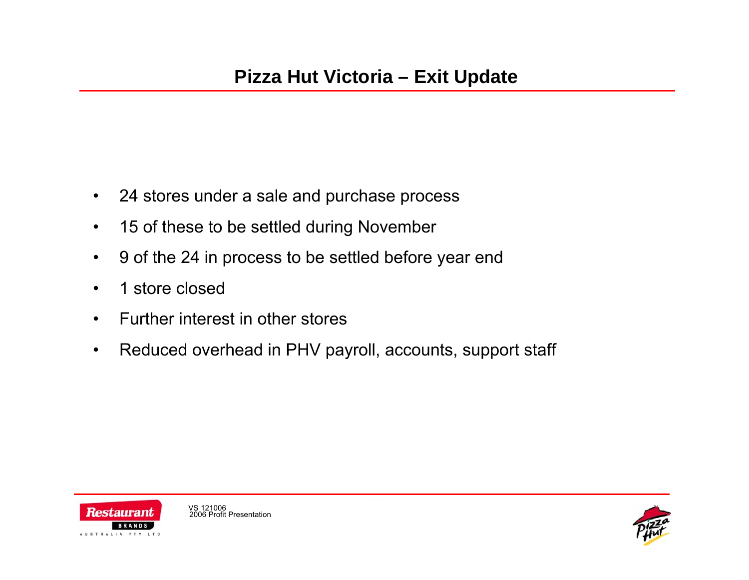- •24 stores under a sale and purchase process
- •15 of these to be settled during November
- •9 of the 24 in process to be settled before year end
- •1 store closed
- $\bullet$ Further interest in other stores
- •Reduced overhead in PHV payroll, accounts, support staff



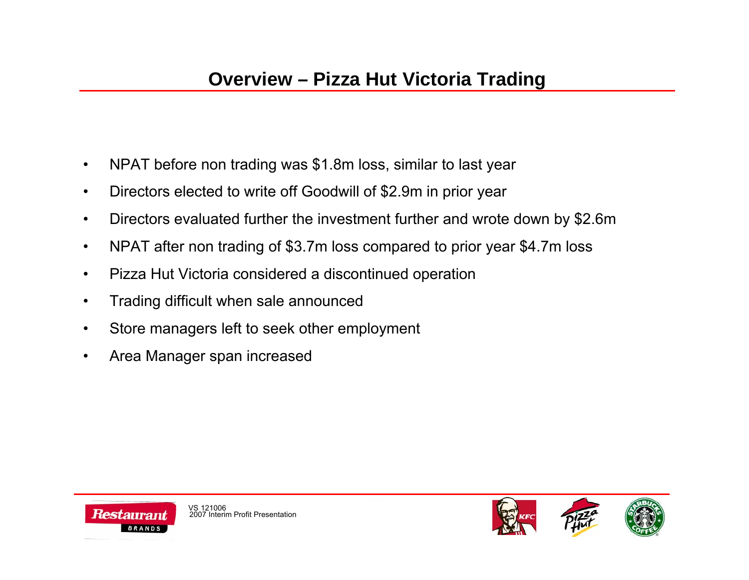- •NPAT before non trading was \$1.8m loss, similar to last year
- •Directors elected to write off Goodwill of \$2.9m in prior year
- •Directors evaluated further the investment further and wrote down by \$2.6m
- •NPAT after non trading of \$3.7m loss compared to prior year \$4.7m loss
- •Pizza Hut Victoria considered a discontinued operation
- •Trading difficult when sale announced
- •Store managers left to seek other employment
- •Area Manager span increased



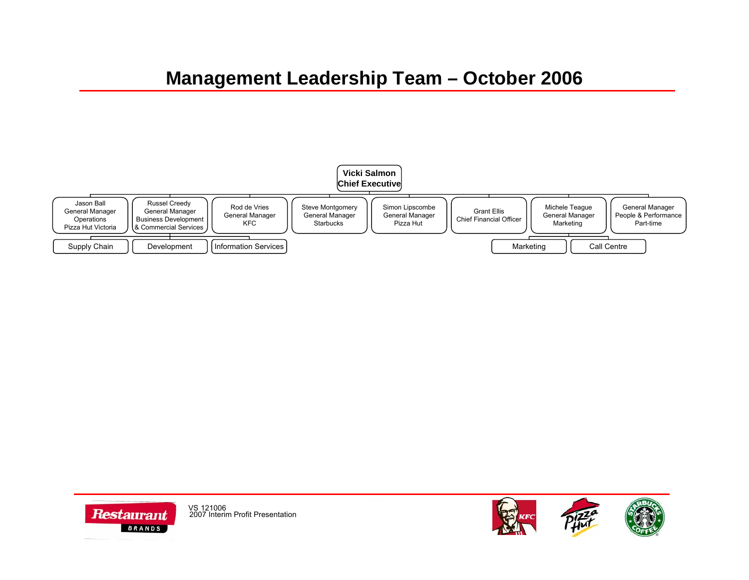#### **Management Leadership Team - October 2006**







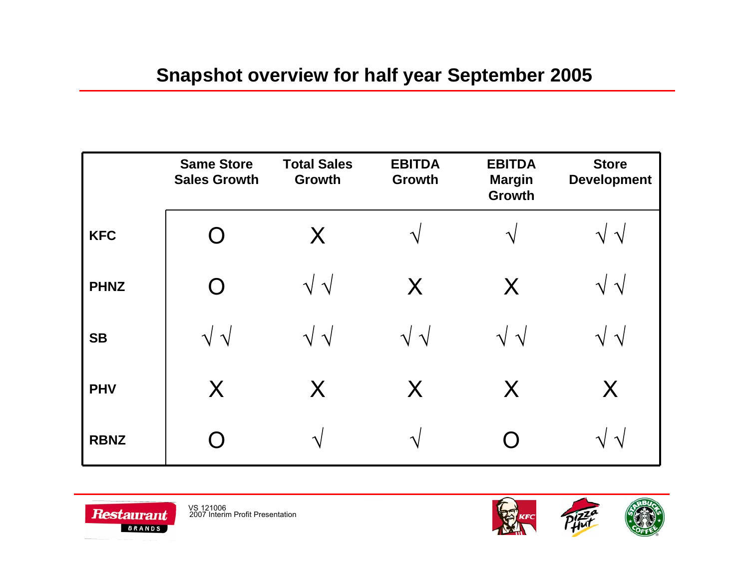|             | <b>Same Store</b><br><b>Sales Growth</b> | <b>Total Sales</b><br><b>Growth</b> | <b>EBITDA</b><br><b>Growth</b> | <b>EBITDA</b><br><b>Margin</b><br><b>Growth</b> | <b>Store</b><br><b>Development</b> |
|-------------|------------------------------------------|-------------------------------------|--------------------------------|-------------------------------------------------|------------------------------------|
| <b>KFC</b>  |                                          | X                                   | $\mathcal{N}$                  | $\mathcal{N}$                                   | $\sqrt{\sqrt{}}$                   |
| <b>PHNZ</b> |                                          | $\sqrt{\sqrt{2}}$                   | X                              | X                                               | $\sqrt{\sqrt{2}}$                  |
| <b>SB</b>   | $\sqrt{\sqrt{2}}$                        | $\sqrt{\sqrt{2}}$                   | $\sqrt{\sqrt{2}}$              | $\sqrt{\sqrt{2}}$                               | $\sqrt{\sqrt{}}$                   |
| <b>PHV</b>  | X                                        | X                                   | X                              | X                                               | X                                  |
| <b>RBNZ</b> |                                          | $\mathcal{N}$                       | $\boldsymbol{\Lambda}$         |                                                 | $\mathcal{N}$                      |



VS 1210062007 Interim Profit Presentation



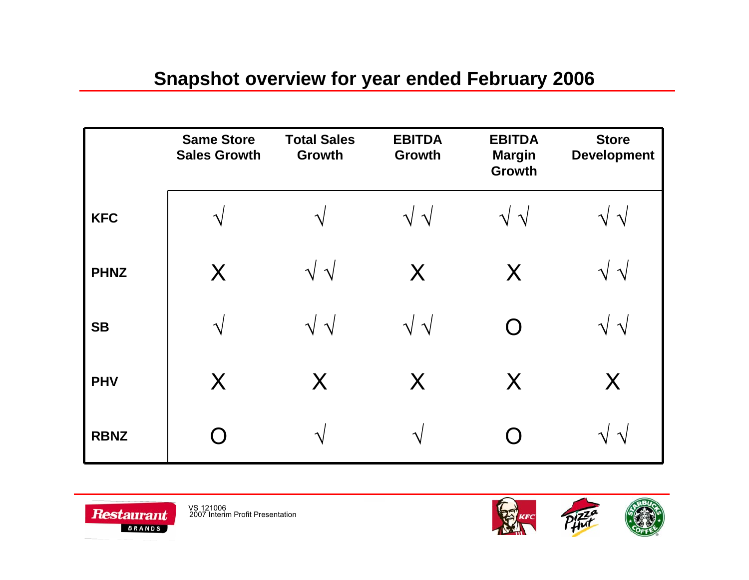#### **Snapshot overview for year ended February 2006**

|             | <b>Same Store</b><br><b>Sales Growth</b> | <b>Total Sales</b><br>Growth | <b>EBITDA</b><br><b>Growth</b> | <b>EBITDA</b><br><b>Margin</b><br><b>Growth</b> | <b>Store</b><br><b>Development</b> |
|-------------|------------------------------------------|------------------------------|--------------------------------|-------------------------------------------------|------------------------------------|
| <b>KFC</b>  | $\mathcal{N}$                            | $\mathcal{N}$                | $\sqrt{\sqrt{2}}$              | $\sqrt{\sqrt{2}}$                               | $\sqrt{\sqrt{}}$                   |
| <b>PHNZ</b> | X                                        | $\sqrt{\sqrt{2}}$            | X                              | X                                               | $\sqrt{\sqrt{2}}$                  |
| <b>SB</b>   | $\mathcal{N}$                            | $\sqrt{\sqrt{2}}$            | $\sqrt{\sqrt{2}}$              |                                                 | $\sqrt{\sqrt{}}$                   |
| <b>PHV</b>  | X                                        | X                            | X                              | X                                               | X                                  |
| <b>RBNZ</b> |                                          | $\mathcal{N}$                | $\boldsymbol{\Lambda}$         |                                                 | $\mathcal{N}$<br>$\sqrt{}$         |





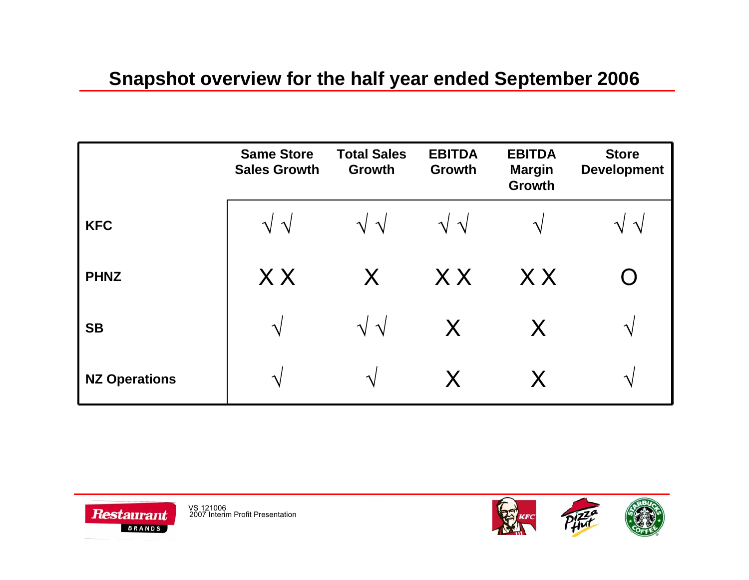|                      | <b>Same Store</b><br><b>Sales Growth</b> | <b>Total Sales</b><br><b>Growth</b> | <b>EBITDA</b><br><b>Growth</b> | <b>EBITDA</b><br><b>Margin</b><br><b>Growth</b> | <b>Store</b><br><b>Development</b> |
|----------------------|------------------------------------------|-------------------------------------|--------------------------------|-------------------------------------------------|------------------------------------|
| <b>KFC</b>           | $\sqrt{\sqrt{}}$                         | $\sqrt{\sqrt{}}$                    | $\sqrt{\sqrt{2}}$              | $\mathcal{N}$                                   | $\mathcal{N}$                      |
| <b>PHNZ</b>          | XX                                       | $\mathsf{X}$                        | XX.                            | XX                                              |                                    |
| <b>SB</b>            | $\mathcal{N}$                            | $\sqrt{\sqrt{}}$                    | $\mathsf{X}$                   | X                                               |                                    |
| <b>NZ Operations</b> | $\mathcal{N}$                            | $\boldsymbol{\gamma}$               | X                              | X                                               | $\mathcal{N}$                      |



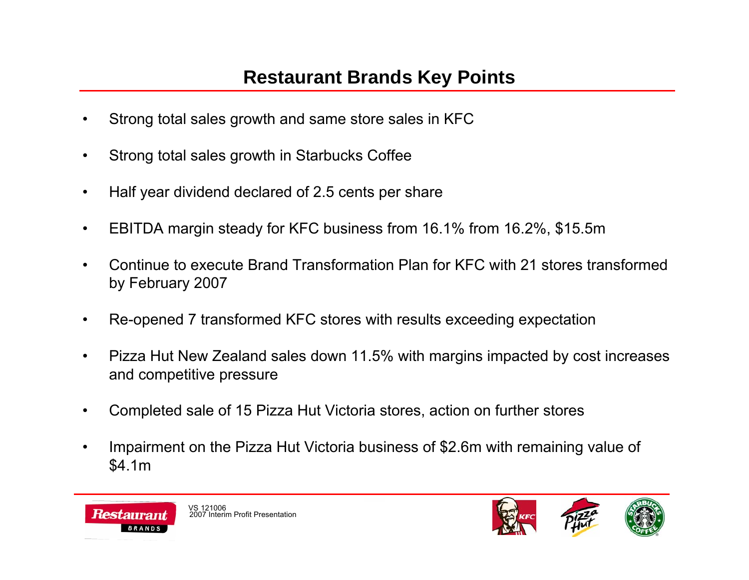- •Strong total sales growth and same store sales in KFC
- •Strong total sales growth in Starbucks Coffee
- •Half year dividend declared of 2.5 cents per share
- •EBITDA margin steady for KFC business from 16.1% from 16.2%, \$15.5m
- • Continue to execute Brand Transformation Plan for KFC with 21 stores transformed by February 2007
- $\bullet$ Re-opened 7 transformed KFC stores with results exceeding expectation
- • Pizza Hut New Zealand sales down 11.5% with margins impacted by cost increases and competitive pressure
- •Completed sale of 15 Pizza Hut Victoria stores, action on further stores
- • Impairment on the Pizza Hut Victoria business of \$2.6m with remaining value of \$4.1m





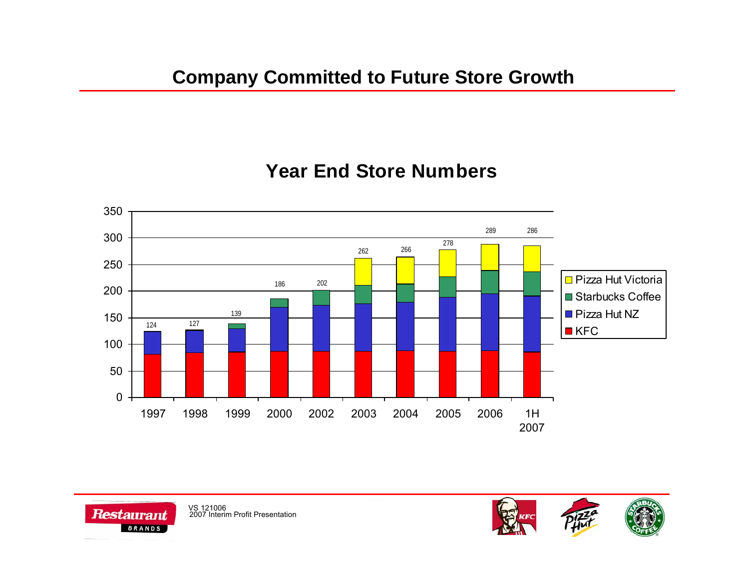#### **Company Committed to Future Store Growth**

### **Year End Store Numbers**



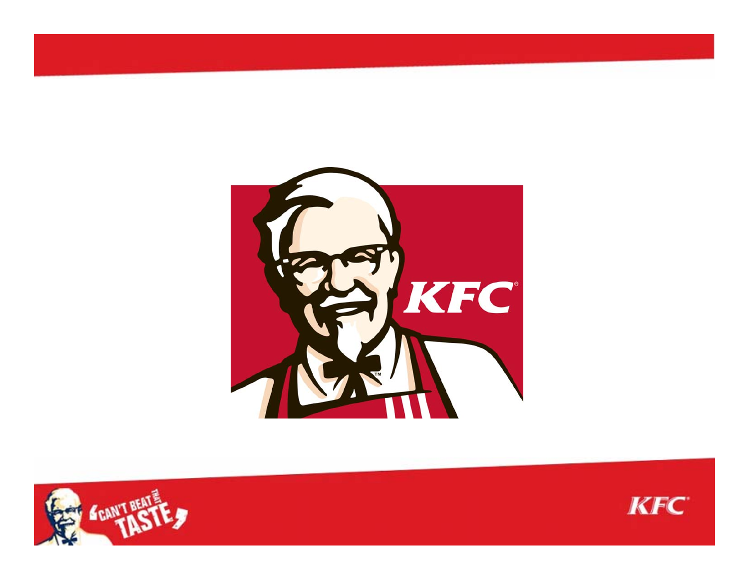



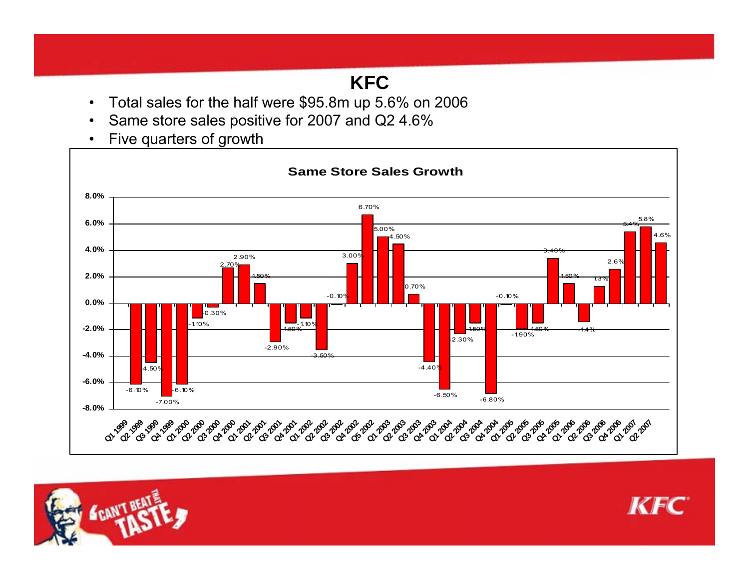# **KFC**

- $\bullet$ Total sales for the half were \$95.8m up 5.6% on 2006
- •Same store sales positive for 2007 and Q2 4.6%
- •Five quarters of growth





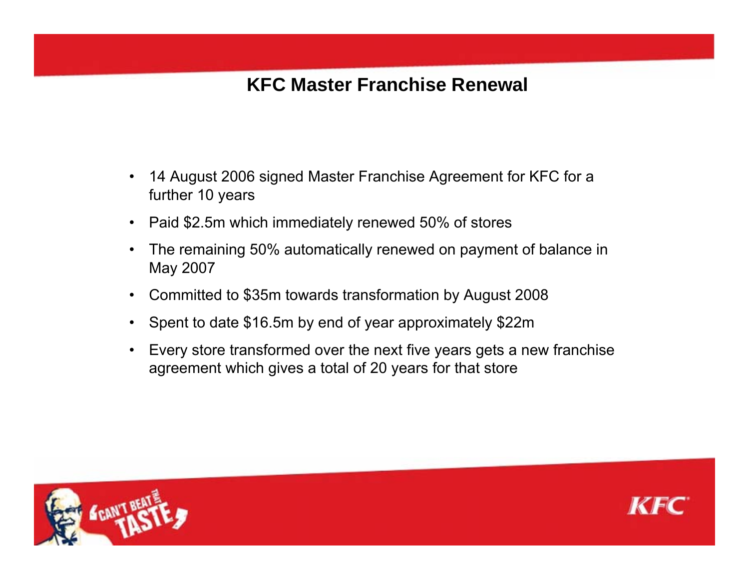#### **KFC Master Franchise Renewal**

- • 14 August 2006 signed Master Franchise Agreement for KFC for a further 10 years
- •Paid \$2.5m which immediately renewed 50% of stores
- • The remaining 50% automatically renewed on payment of balance in May 2007
- •Committed to \$35m towards transformation by August 2008
- •Spent to date \$16.5m by end of year approximately \$22m
- • Every store transformed over the next five years gets a new franchise agreement which gives a total of 20 years for that store



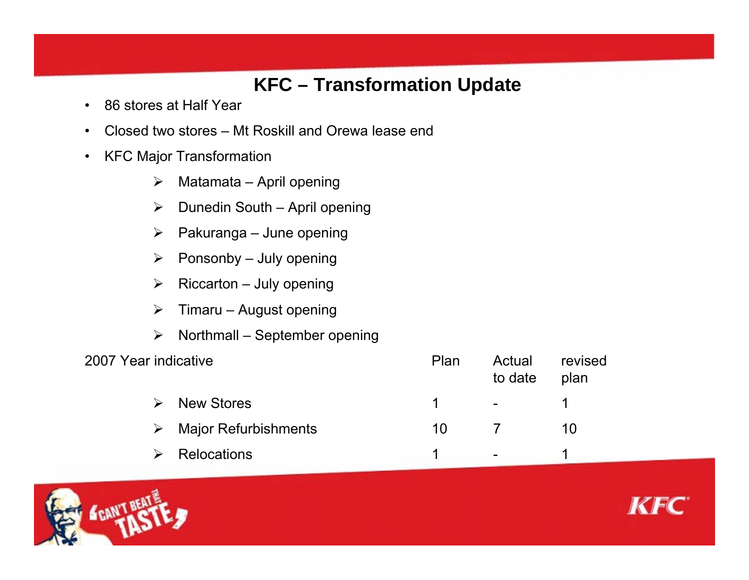# **KFC – Transformation Update**

- •86 stores at Half Year
- •• Closed two stores – Mt Roskill and Orewa lease end
- • KFC Major Transformation
	- $\blacktriangleright$ Matamata – April opening
	- $\blacktriangleright$ **▶ Dunedin South – April opening**
	- $\blacktriangleright$ **►** Pakuranga – June opening
	- $\blacktriangleright$  $\triangleright$  Ponsonby – July opening
	- $\blacktriangleright$  $\triangleright$  Riccarton – July opening
	- $\blacktriangleright$ Timaru – August opening
	- $\blacktriangleright$ Northmall – September opening

| 2007 Year indicative |  | Plan                                  | Actual<br>to date | revised<br>plan          |    |
|----------------------|--|---------------------------------------|-------------------|--------------------------|----|
|                      |  | <b>New Stores</b>                     |                   | $\overline{\phantom{0}}$ |    |
|                      |  | $\triangleright$ Major Refurbishments | 10                | $\prime$                 | 10 |
|                      |  | <b>Relocations</b>                    |                   |                          |    |



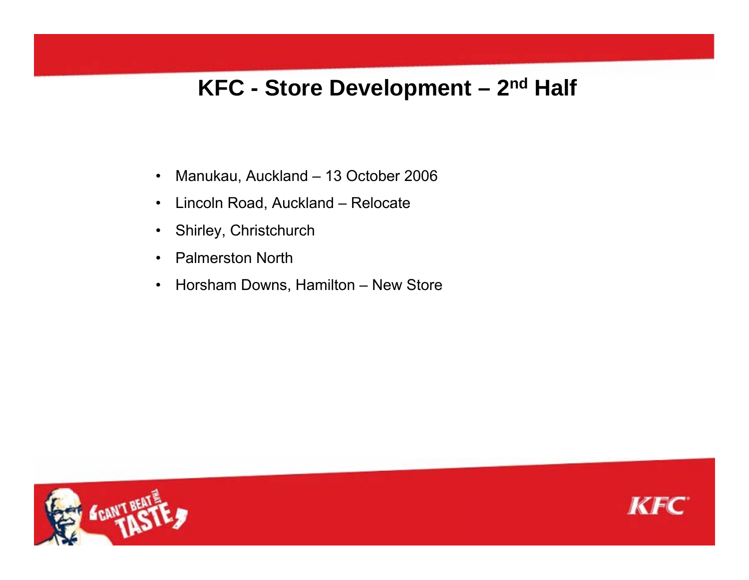# **KFC - Store Development – 2nd Half**

- •Manukau, Auckland – 13 October 2006
- •Lincoln Road, Auckland – Relocate
- $\bullet$ Shirley, Christchurch
- •Palmerston North
- •Horsham Downs, Hamilton – New Store



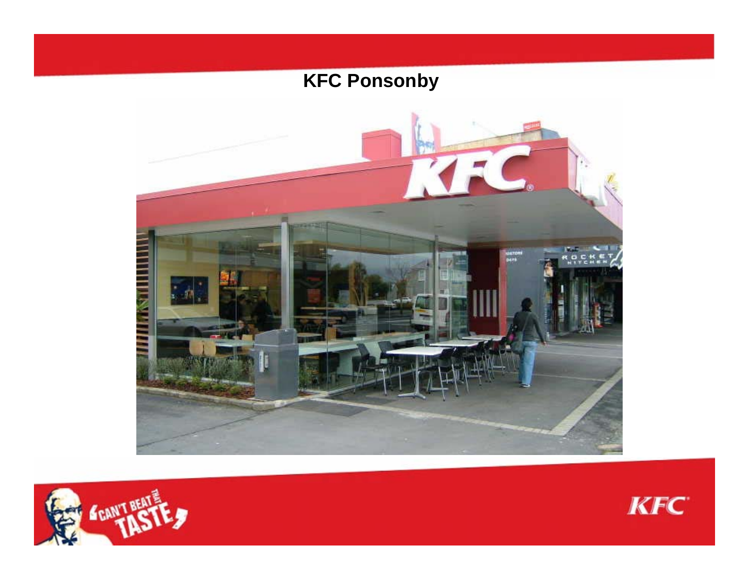# **KFC Ponsonby**





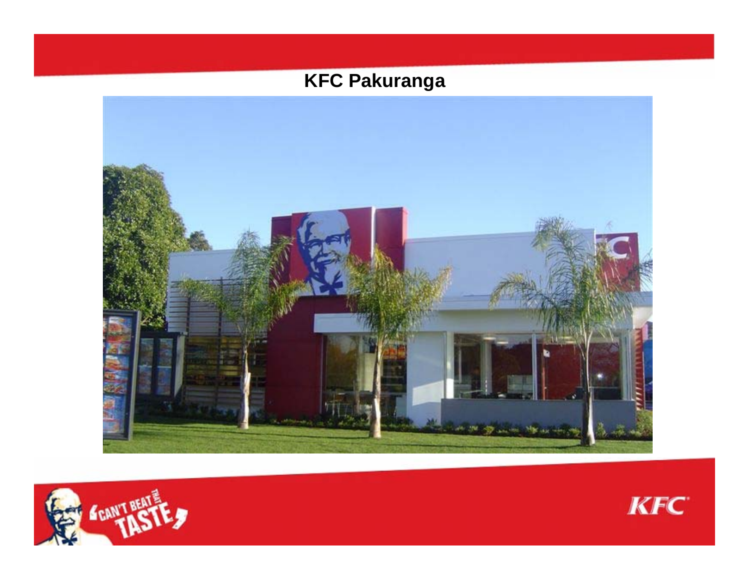# **KFC Pakuranga**





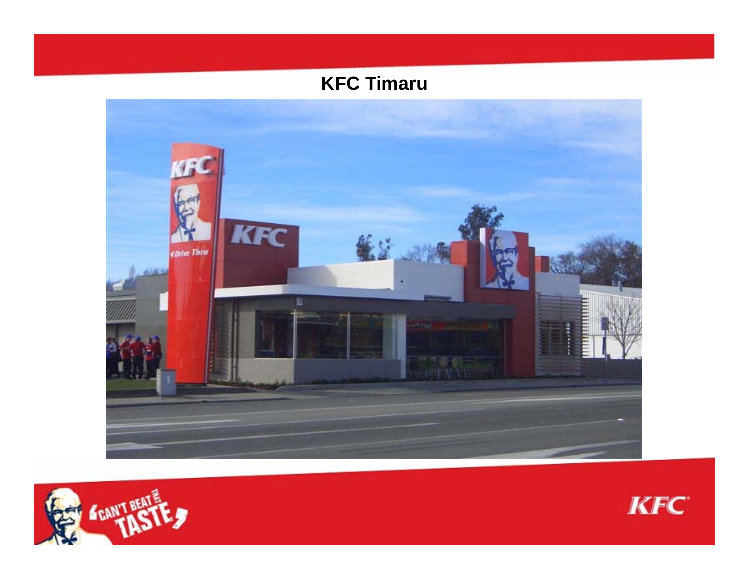# **KFC Timaru**





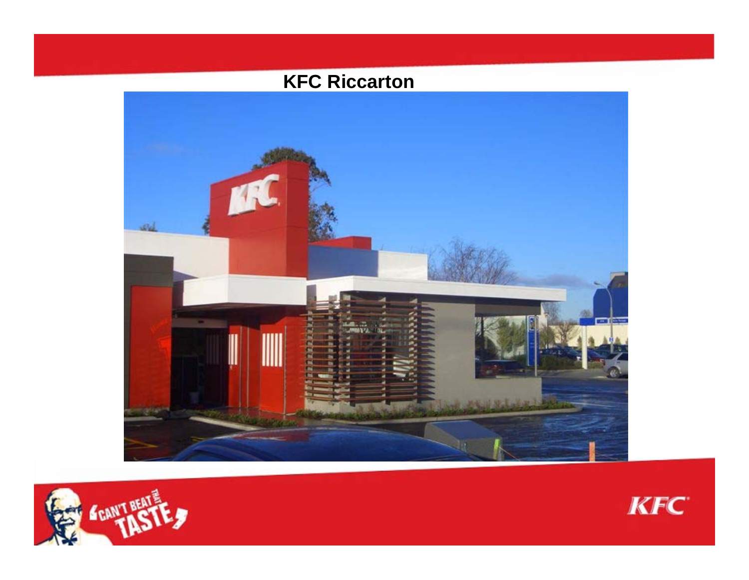# **KFC Riccarton**





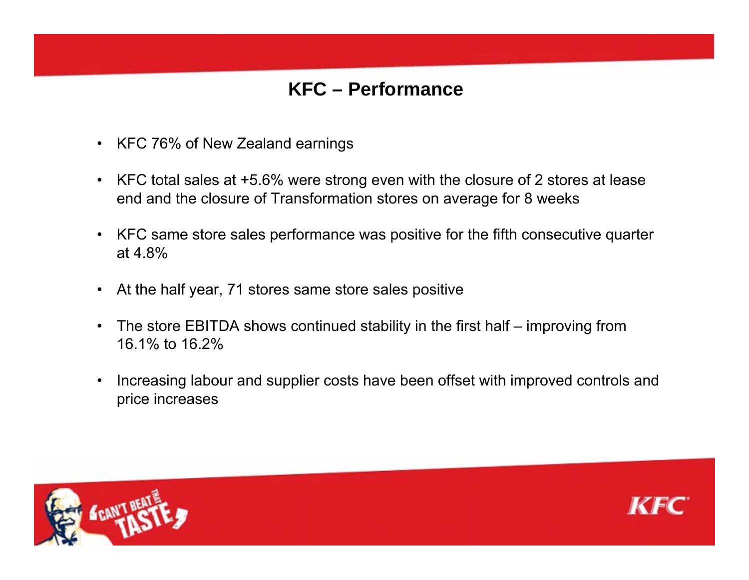#### **KFC –Performance**

- KFC 76% of New Zealand earnings
- K F C total sales at +5.6% were strong even with the closure of 2 stores at lease end and the closure of Transfor mation stores on average for 8 weeks
- KFC same store sales perfor mance was positive for the fifth consecutive quarter at 4.8%
- •At the half year, 71 stores same store sales positive
- • The store EBITDA shows continued stability in the first half – improving from 16.1% to 16.2%
- $\bullet$  Increasing labour and supplier costs have been offset with improved controls and price increases



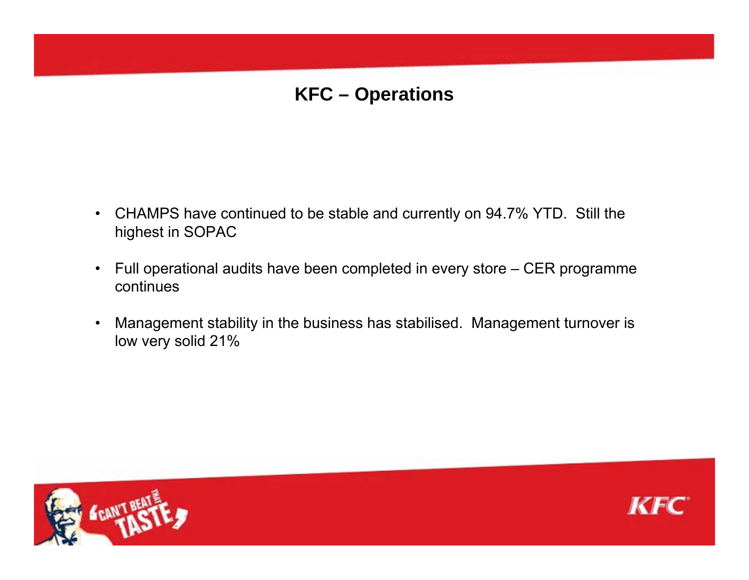### **KFC – Operations**

- • CHAMPS have continued to be stable and currently on 94.7% YTD. Still the highest in SOPAC
- • Full operational audits have been completed in every store – CER programme continues
- • Management stability in the business has stabilised. Management turnover is low very solid 21%



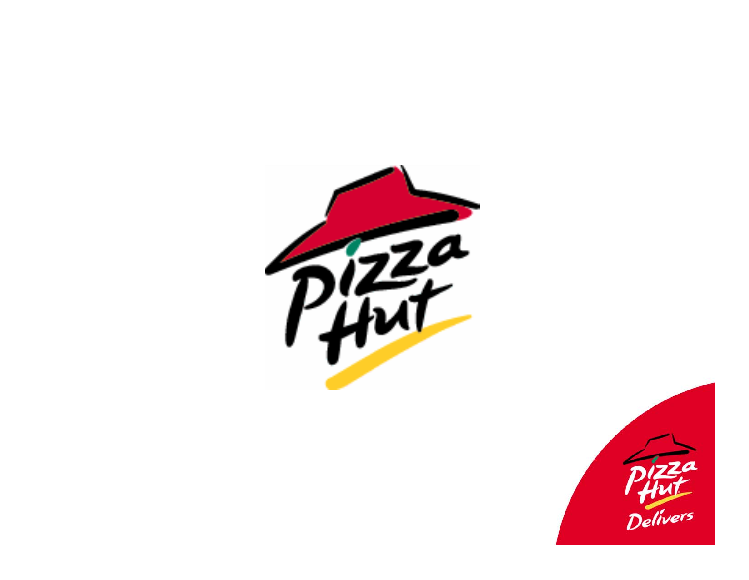

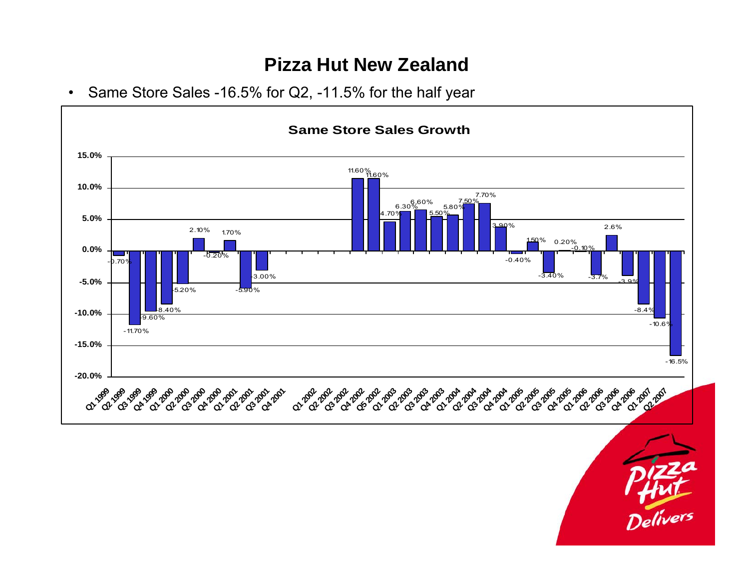#### **Pizza Hut New Zealand**

•Same Store Sales -16.5% for Q2, -11.5% for the half year



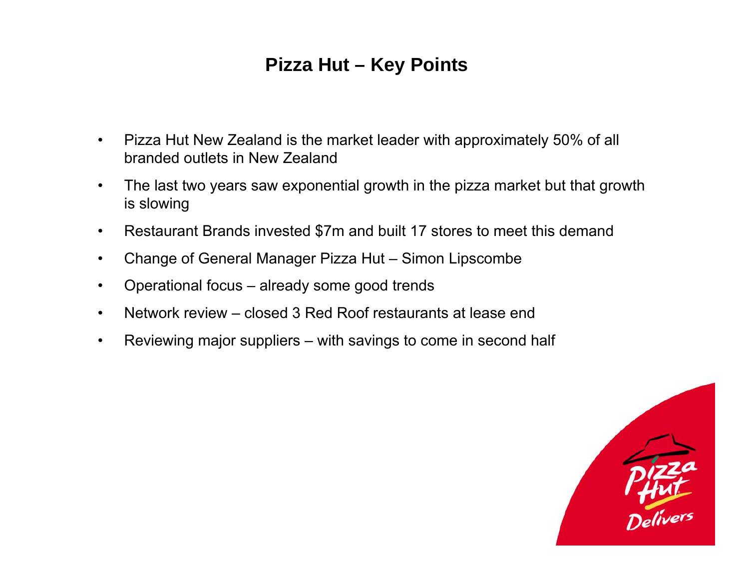#### **Pizza Hut – Key Points**

- • Pizza Hut New Zealand is the market leader with approximately 50% of all branded outlets in New Zealand
- • The last two years saw exponential growth in the pizza market but that growth is slowing
- •Restaurant Brands invested \$7m and built 17 stores to meet this demand
- •Change of General Manager Pizza Hut – Simon Lipscombe
- •Operational focus – already some good trends
- •Network review – closed 3 Red Roof restaurants at lease end
- •Reviewing major suppliers – with savings to come in second half

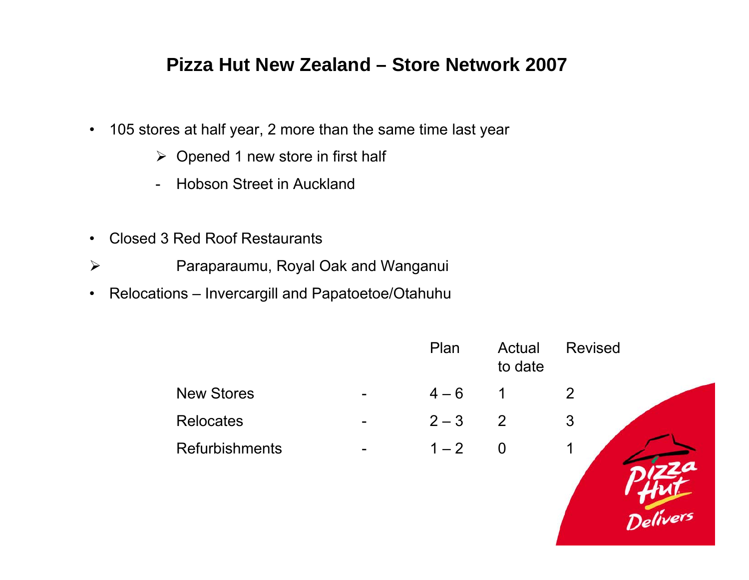#### **Pizza Hut New Zealand – Store Network 2007**

- $\bullet$  105 stores at half year, 2 more than the same time last year
	- $\triangleright$  Opened 1 new store in first half
	- -Hobson Street in Auckland
- •Closed 3 Red Roof Restaurants
- $\blacktriangleright$ Paraparaumu, Royal Oak and Wanganui
- $\bullet$ Relocations – Invercargill and Papatoetoe/Otahuhu

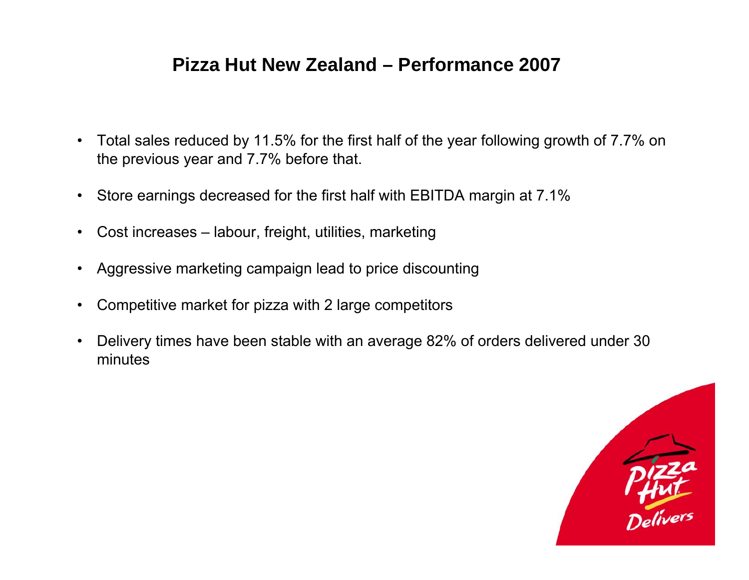#### **Pizza Hut New Zealand – Performance 2007**

- $\bullet$  Total sales reduced by 11.5% for the first half of the year following growth of 7.7% on the previous year and 7.7% before that.
- •Store earnings decreased for the first half with EBITDA margin at 7.1%
- •Cost increases – labour, freight, utilities, marketing
- •Aggressive marketing campaign lead to price discounting
- •Competitive market for pizza with 2 large competitors
- • Delivery times have been stable with an average 82% of orders delivered under 30 minutes

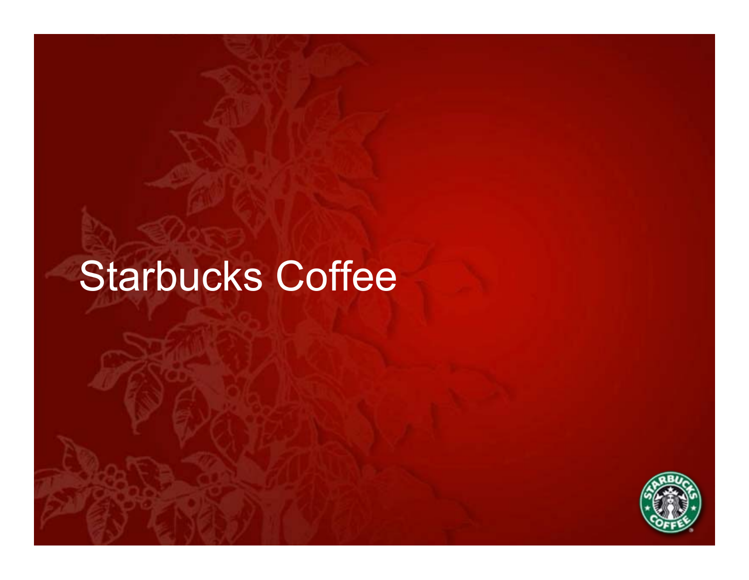# Starbucks Coffee

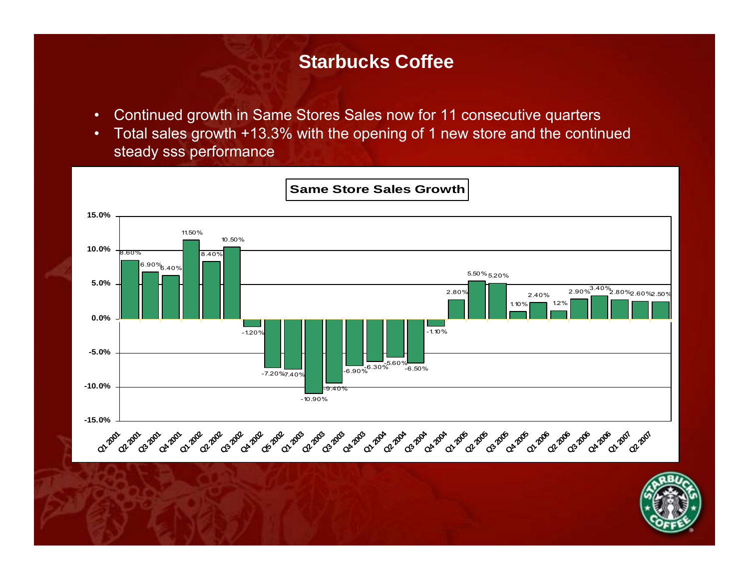#### **Starbucks Coffee**

- •Continued growth in Same Stores Sales now for 11 consecutive quarters
- • Total sales growth +13.3% with the opening of 1 new store and the continued steady sss performance



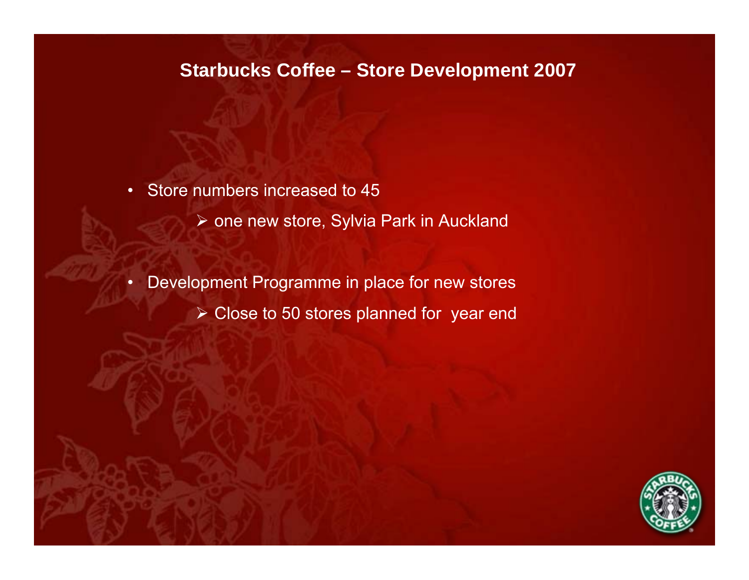#### **Starbucks Coffee – Store Development 2007**

- • Store numbers increased to 45
	- ¾ one new store, Sylvia Park in Auckland
- • Development Programme in place for new stores  $\triangleright$  Close to 50 stores planned for year end

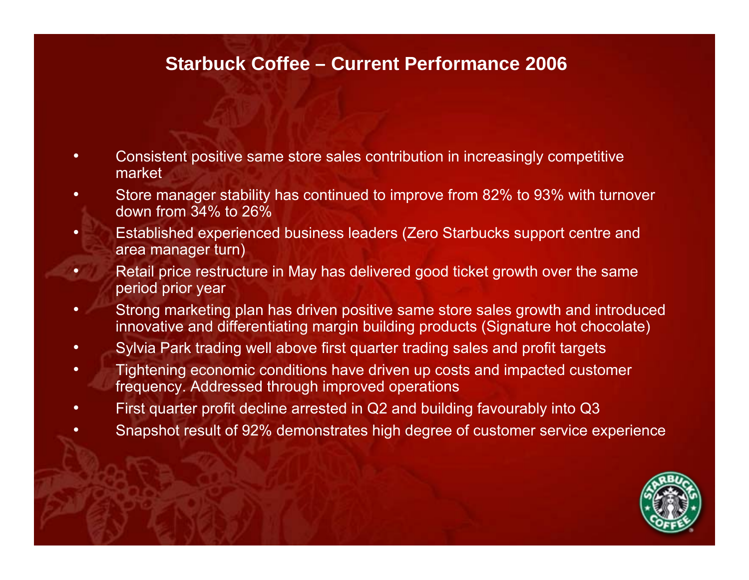#### **Starbuck Coffee – Current Performance 2006**

- • Consistent positive same store sales contribution in increasingly competitive market
- • Store manager stability has continued to improve from 82% to 93% with turnover down from 34% to 26%
- • Established experienced business leaders (Zero Starbucks support centre and area manager turn)
- $\bullet$  Retail price restructure in May has delivered good ticket growth over the same period prior year
- $\bullet$  Strong marketing plan has driven positive same store sales growth and introduced innovative and differentiating margin building products (Signature hot chocolate)
- •Sylvia Park trading well above first quarter trading sales and profit targets
- • Tightening economic conditions have driven up costs and impacted customer frequency. Addressed through improved operations
- •First quarter profit decline arrested in Q2 and building favourably into Q3
- •Snapshot result of 92% demonstrates high degree of customer service experience

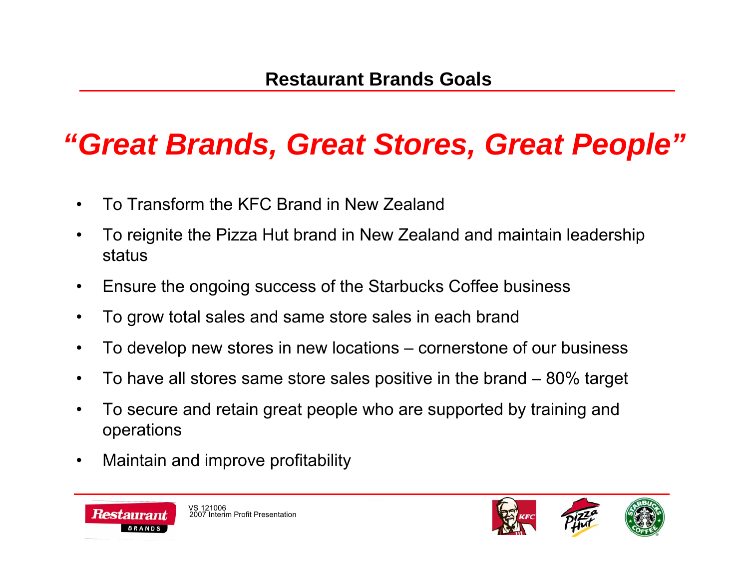# *"Great Brands, Great Stores, Great People"*

- •To Transform the KFC Brand in New Zealand
- • To reignite the Pizza Hut brand in New Zealand and maintain leadership status
- $\overline{\mathbf{C}}$ Ensure the ongoing success of the Starbucks Coffee business •
- •To grow total sales and same store sales in each brand
- •To develop new stores in new locations – cornerstone of our business
- •To have all stores same store sales positive in the brand – 80% target
- • To secure and retain great people who are supported by training and operations
- •Maintain and improve profitability



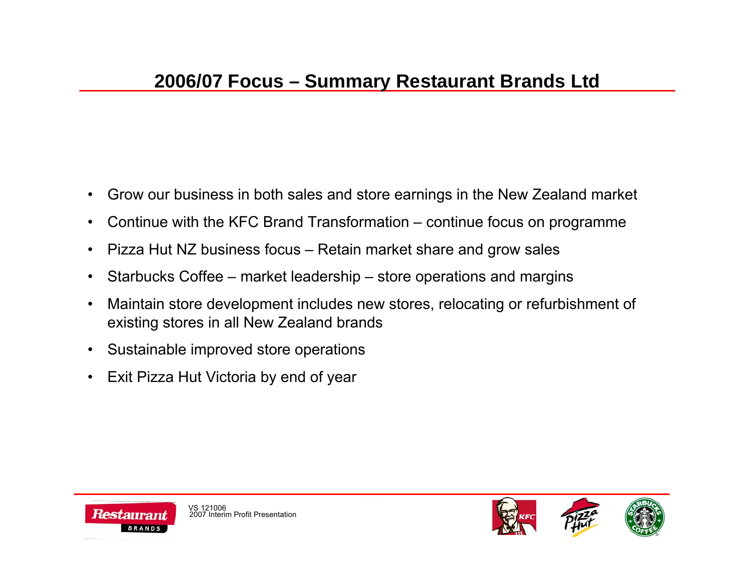# **2006/07 Focus – Summary Restaurant Brands Ltd**

- •Grow our business in both sales and store earnings in the New Zealand market
- •Continue with the KFC Brand Transformation – continue focus on programme
- •Pizza Hut NZ business focus – Retain market share and grow sales
- •Starbucks Coffee – market leadership – store operations and margins
- • Maintain store development includes new stores, relocating or refurbishment of existing stores in all New Zealand brands
- •Sustainable improved store operations
- •Exit Pizza Hut Victoria by end of year